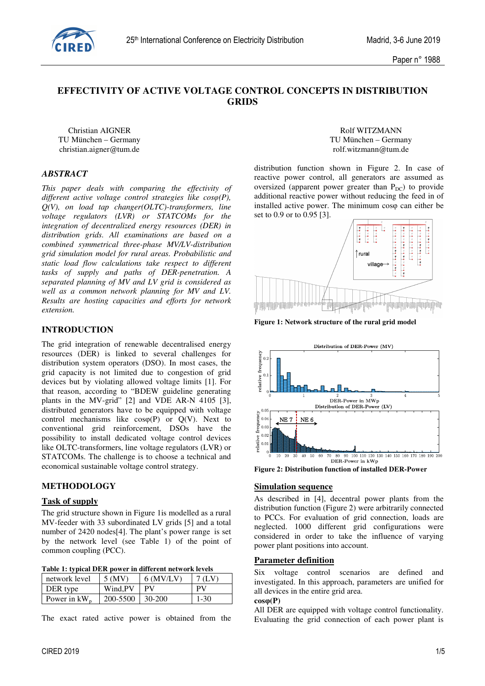

# **EFFECTIVITY OF ACTIVE VOLTAGE CONTROL CONCEPTS IN DISTRIBUTION GRIDS**

Christian AIGNER Rolf WITZMANN christian.aigner@tum.de rolf.witzmann@tum.de

# *ABSTRACT*

*This paper deals with comparing the effectivity of different active voltage control strategies like cosφ(P), Q(V), on load tap changer(OLTC)-transformers, line voltage regulators (LVR) or STATCOMs for the integration of decentralized energy resources (DER) in distribution grids. All examinations are based on a combined symmetrical three-phase MV/LV-distribution grid simulation model for rural areas. Probabilistic and static load flow calculations take respect to different tasks of supply and paths of DER-penetration. A separated planning of MV and LV grid is considered as well as a common network planning for MV and LV. Results are hosting capacities and efforts for network extension.* 

# **INTRODUCTION**

The grid integration of renewable decentralised energy resources (DER) is linked to several challenges for distribution system operators (DSO). In most cases, the grid capacity is not limited due to congestion of grid devices but by violating allowed voltage limits [1]. For that reason, according to "BDEW guideline generating plants in the MV-grid" [2] and VDE AR-N 4105 [3], distributed generators have to be equipped with voltage control mechanisms like  $cos(\phi)$  or  $Q(V)$ . Next to conventional grid reinforcement, DSOs have the possibility to install dedicated voltage control devices like OLTC-transformers, line voltage regulators (LVR) or STATCOMs. The challenge is to choose a technical and economical sustainable voltage control strategy.

### **METHODOLOGY**

### **Task of supply**

The grid structure shown in Figure 1is modelled as a rural MV-feeder with 33 subordinated LV grids [5] and a total number of 2420 nodes[4]. The plant's power range is set by the network level (see Table 1) of the point of common coupling (PCC).

| Table 1: typical DER power in different network levels |
|--------------------------------------------------------|
|--------------------------------------------------------|

| network level   | 5 (MV)   | $6$ (MV/LV) | 7 (LV    |
|-----------------|----------|-------------|----------|
| DER type        | Wind.PV  |             | PV       |
| Power in $kW_n$ | 200-5500 | 30-200      | $1 - 30$ |

The exact rated active power is obtained from the

TU München – Germany TU München – Germany

distribution function shown in Figure 2. In case of reactive power control, all generators are assumed as oversized (apparent power greater than  $P_{DC}$ ) to provide additional reactive power without reducing the feed in of installed active power. The minimum cosφ can either be set to 0.9 or to 0.95 [3].



**Figure 1: Network structure of the rural grid model**



**Figure 2: Distribution function of installed DER-Power** 

### **Simulation sequence**

As described in [4], decentral power plants from the distribution function (Figure 2) were arbitrarily connected to PCCs. For evaluation of grid connection, loads are neglected. 1000 different grid configurations were considered in order to take the influence of varying power plant positions into account.

### **Parameter definition**

Six voltage control scenarios are defined and investigated. In this approach, parameters are unified for all devices in the entire grid area.

#### **cosφ(P)**

All DER are equipped with voltage control functionality. Evaluating the grid connection of each power plant is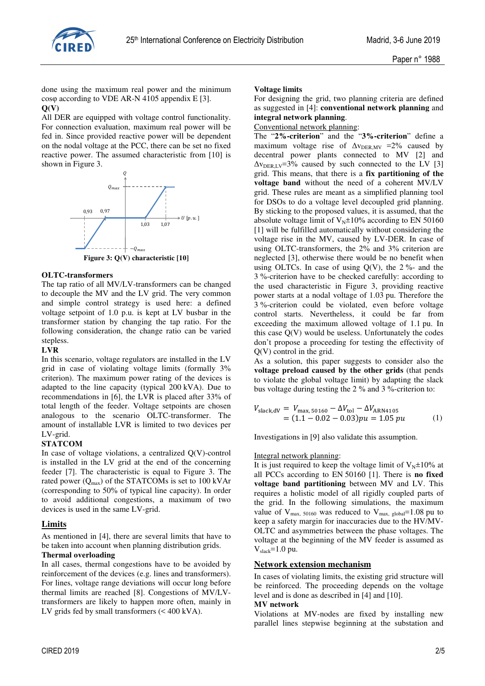

done using the maximum real power and the minimum cosφ according to VDE AR-N 4105 appendix E [3]. **Q(V)** 

All DER are equipped with voltage control functionality. For connection evaluation, maximum real power will be fed in. Since provided reactive power will be dependent on the nodal voltage at the PCC, there can be set no fixed reactive power. The assumed characteristic from [10] is shown in Figure 3.



**Figure 3: Q(V) characteristic [10]** 

### **OLTC-transformers**

The tap ratio of all MV/LV-transformers can be changed to decouple the MV and the LV grid. The very common and simple control strategy is used here: a defined voltage setpoint of 1.0 p.u. is kept at LV busbar in the transformer station by changing the tap ratio. For the following consideration, the change ratio can be varied stepless.

### **LVR**

In this scenario, voltage regulators are installed in the LV grid in case of violating voltage limits (formally 3% criterion). The maximum power rating of the devices is adapted to the line capacity (typical 200 kVA). Due to recommendations in [6], the LVR is placed after 33% of total length of the feeder. Voltage setpoints are chosen analogous to the scenario OLTC-transformer. The amount of installable LVR is limited to two devices per LV-grid.

### **STATCOM**

In case of voltage violations, a centralized  $Q(V)$ -control is installed in the LV grid at the end of the concerning feeder [7]. The characteristic is equal to Figure 3. The rated power  $(Q_{max})$  of the STATCOMs is set to 100 kVAr (corresponding to 50% of typical line capacity). In order to avoid additional congestions, a maximum of two devices is used in the same LV-grid.

# **Limits**

As mentioned in [4], there are several limits that have to be taken into account when planning distribution grids.

### **Thermal overloading**

In all cases, thermal congestions have to be avoided by reinforcement of the devices (e.g. lines and transformers). For lines, voltage range deviations will occur long before thermal limits are reached [8]. Congestions of MV/LVtransformers are likely to happen more often, mainly in LV grids fed by small transformers (< 400 kVA).

### **Voltage limits**

For designing the grid, two planning criteria are defined as suggested in [4]: **conventional network planning** and **integral network planning**.

#### Conventional network planning:

The "**2%-criterion**" and the "**3%-criterion**" define a maximum voltage rise of  $\Delta v_{DERMV}$  =2% caused by decentral power plants connected to MV [2] and  $\Delta v_{\text{DER~LV}}$ =3% caused by such connected to the LV [3] grid. This means, that there is a **fix partitioning of the voltage band** without the need of a coherent MV/LV grid. These rules are meant as a simplified planning tool for DSOs to do a voltage level decoupled grid planning. By sticking to the proposed values, it is assumed, that the absolute voltage limit of  $V_N \pm 10\%$  according to EN 50160 [1] will be fulfilled automatically without considering the voltage rise in the MV, caused by LV-DER. In case of using OLTC-transformers, the 2% and 3% criterion are neglected [3], otherwise there would be no benefit when using OLTCs. In case of using  $O(V)$ , the  $2\%$ - and the 3 %-criterion have to be checked carefully: according to the used characteristic in Figure 3, providing reactive power starts at a nodal voltage of 1.03 pu. Therefore the 3 %-criterion could be violated, even before voltage control starts. Nevertheless, it could be far from exceeding the maximum allowed voltage of 1.1 pu. In this case Q(V) would be useless. Unfortunately the codes don't propose a proceeding for testing the effectivity of Q(V) control in the grid.

As a solution, this paper suggests to consider also the **voltage preload caused by the other grids** (that pends to violate the global voltage limit) by adapting the slack bus voltage during testing the 2 % and 3 %-criterion to:

$$
V_{\text{slack,}dV} = V_{\text{max,}50160} - \Delta V_{\text{tol}} - \Delta V_{\text{ARN4105}} = (1.1 - 0.02 - 0.03)pu = 1.05 pu
$$
 (1)

Investigations in [9] also validate this assumption.

### Integral network planning:

It is just required to keep the voltage limit of  $V_N \pm 10\%$  at all PCCs according to EN 50160 [1]. There is **no fixed voltage band partitioning** between MV and LV. This requires a holistic model of all rigidly coupled parts of the grid. In the following simulations, the maximum value of  $V_{\text{max}}$ , 50160 was reduced to  $V_{\text{max}}$ , global=1.08 pu to keep a safety margin for inaccuracies due to the HV/MV-OLTC and asymmetries between the phase voltages. The voltage at the beginning of the MV feeder is assumed as  $V_{\text{slack}}=1.0$  pu.

### **Network extension mechanism**

In cases of violating limits, the existing grid structure will be reinforced. The proceeding depends on the voltage level and is done as described in [4] and [10].

#### **MV network**

Violations at MV-nodes are fixed by installing new parallel lines stepwise beginning at the substation and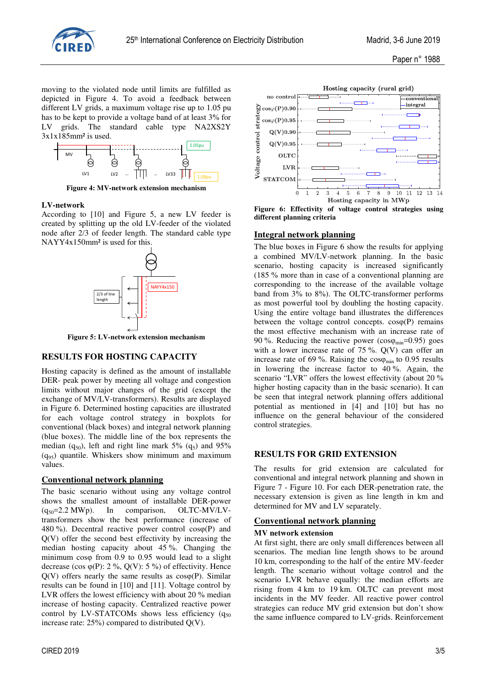

Paper n° 1988

moving to the violated node until limits are fulfilled as depicted in Figure 4. To avoid a feedback between different LV grids, a maximum voltage rise up to 1.05 pu has to be kept to provide a voltage band of at least 3% for LV grids. The standard cable type NA2XS2Y 3x1x185mm² is used.



**Figure 4: MV-network extension mechanism** 

#### **LV-network**

According to [10] and Figure 5, a new LV feeder is created by splitting up the old LV-feeder of the violated node after 2/3 of feeder length. The standard cable type NAYY4x150mm² is used for this.



**Figure 5: LV-network extension mechanism** 

#### **RESULTS FOR HOSTING CAPACITY**

Hosting capacity is defined as the amount of installable DER- peak power by meeting all voltage and congestion limits without major changes of the grid (except the exchange of MV/LV-transformers). Results are displayed in Figure 6. Determined hosting capacities are illustrated for each voltage control strategy in boxplots for conventional (black boxes) and integral network planning (blue boxes). The middle line of the box represents the median  $(q_{50})$ , left and right line mark 5%  $(q_5)$  and 95%  $(q_{95})$  quantile. Whiskers show minimum and maximum values.

#### **Conventional network planning**

The basic scenario without using any voltage control shows the smallest amount of installable DER-power  $(q_{50}=2.2 \text{ MWp})$ . In comparison, OLTC-MV/LVtransformers show the best performance (increase of 480 %). Decentral reactive power control  $cos(\phi)$  and Q(V) offer the second best effectivity by increasing the median hosting capacity about 45 %. Changing the minimum cosφ from 0.9 to 0.95 would lead to a slight decrease (cos  $\varphi(P)$ : 2 %, O(V): 5 %) of effectivity. Hence  $Q(V)$  offers nearly the same results as  $cos<sub>0</sub>(P)$ . Similar results can be found in [10] and [11]. Voltage control by LVR offers the lowest efficiency with about 20 % median increase of hosting capacity. Centralized reactive power control by LV-STATCOMs shows less efficiency  $(q_{50})$ increase rate:  $25\%$ ) compared to distributed Q(V).



**Figure 6: Effectivity of voltage control strategies using different planning criteria** 

#### **Integral network planning**

The blue boxes in Figure 6 show the results for applying a combined MV/LV-network planning. In the basic scenario, hosting capacity is increased significantly (185 % more than in case of a conventional planning are corresponding to the increase of the available voltage band from 3% to 8%). The OLTC-transformer performs as most powerful tool by doubling the hosting capacity. Using the entire voltage band illustrates the differences between the voltage control concepts.  $cos(\theta)$  remains the most effective mechanism with an increase rate of 90 %. Reducing the reactive power ( $cos\varphi_{\text{min}}$ =0.95) goes with a lower increase rate of  $75\%$ . Q(V) can offer an increase rate of 69 %. Raising the  $cos\varphi_{\text{min}}$  to 0.95 results in lowering the increase factor to 40 %. Again, the scenario "LVR" offers the lowest effectivity (about 20 % higher hosting capacity than in the basic scenario). It can be seen that integral network planning offers additional potential as mentioned in [4] and [10] but has no influence on the general behaviour of the considered control strategies.

#### **RESULTS FOR GRID EXTENSION**

The results for grid extension are calculated for conventional and integral network planning and shown in Figure 7 - Figure 10. For each DER-penetration rate, the necessary extension is given as line length in km and determined for MV and LV separately.

### **Conventional network planning**

#### **MV network extension**

At first sight, there are only small differences between all scenarios. The median line length shows to be around 10 km, corresponding to the half of the entire MV-feeder length. The scenario without voltage control and the scenario LVR behave equally: the median efforts are rising from 4 km to 19 km. OLTC can prevent most incidents in the MV feeder. All reactive power control strategies can reduce MV grid extension but don't show the same influence compared to LV-grids. Reinforcement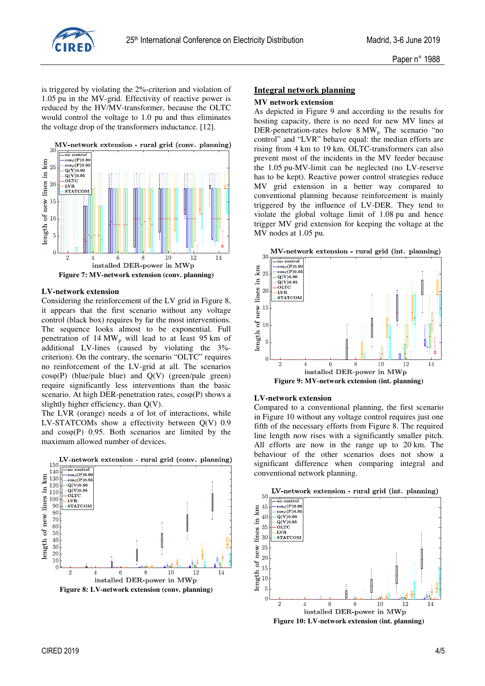

is triggered by violating the 2%-criterion and violation of 1.05 pu in the MV-grid. Effectivity of reactive power is reduced by the HV/MV-transformer, because the OLTC would control the voltage to 1.0 pu and thus eliminates the voltage drop of the transformers inductance. [12].



#### **LV-network extension**

Considering the reinforcement of the LV grid in Figure 8, it appears that the first scenario without any voltage control (black box) requires by far the most interventions. The sequence looks almost to be exponential. Full penetration of  $14 \text{ MW}_{p}$  will lead to at least 95 km of additional LV-lines (caused by violating the 3% criterion). On the contrary, the scenario "OLTC" requires no reinforcement of the LV-grid at all. The scenarios cosφ(P) (blue/pale blue) and Q(V) (green/pale green) require significantly less interventions than the basic scenario. At high DER-penetration rates, cosφ(P) shows a slightly higher efficiency, than Q(V).

The LVR (orange) needs a of lot of interactions, while LV-STATCOMs show a effectivity between Q(V) 0.9 and  $cos(\theta)$  0.95. Both scenarios are limited by the maximum allowed number of devices.



# **Integral network planning MV network extension**

As depicted in Figure 9 and according to the results for hosting capacity, there is no need for new MV lines at DER-penetration-rates below 8 MW<sub>p</sub> The scenario "no control" and "LVR" behave equal: the median efforts are rising from 4 km to 19 km. OLTC-transformers can also prevent most of the incidents in the MV feeder because the 1.05 pu-MV-limit can be neglected (no LV-reserve has to be kept). Reactive power control strategies reduce MV grid extension in a better way compared to conventional planning because reinforcement is mainly triggered by the influence of LV-DER. They tend to violate the global voltage limit of 1.08 pu and hence trigger MV grid extension for keeping the voltage at the MV nodes at 1.05 pu.



#### **LV-network extension**

Compared to a conventional planning, the first scenario in Figure 10 without any voltage control requires just one fifth of the necessary efforts from Figure 8. The required line length now rises with a significantly smaller pitch. All efforts are now in the range up to 20 km. The behaviour of the other scenarios does not show a significant difference when comparing integral and conventional network planning.



CIRED 2019 4/5